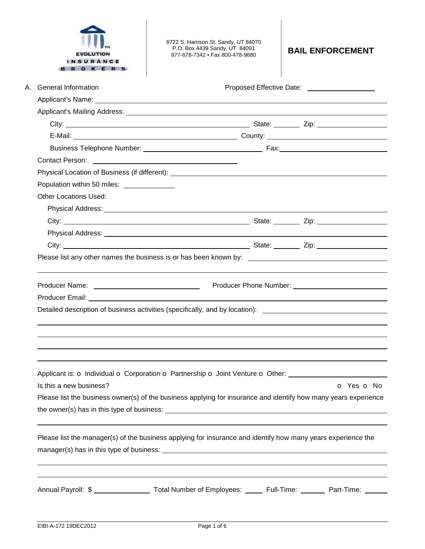| O K E R                                            | 8722 S. Harrison St. Sandy, UT 84070<br>P.O. Box 4439 Sandy, UT 84091<br>877-678-7342 • Fax 800-478-9880                                                                                                                       | <b>BAIL ENFORCEMENT</b>                      |
|----------------------------------------------------|--------------------------------------------------------------------------------------------------------------------------------------------------------------------------------------------------------------------------------|----------------------------------------------|
| А.<br><b>General Information</b>                   |                                                                                                                                                                                                                                | Proposed Effective Date: 2000 2010 2010 2021 |
|                                                    |                                                                                                                                                                                                                                |                                              |
|                                                    | Applicant's Mailing Address: Note and American control of the Control of the Control of the Control of the Control of the Control of the Control of the Control of the Control of the Control of the Control of the Control of |                                              |
|                                                    |                                                                                                                                                                                                                                |                                              |
|                                                    |                                                                                                                                                                                                                                |                                              |
|                                                    |                                                                                                                                                                                                                                |                                              |
|                                                    |                                                                                                                                                                                                                                |                                              |
|                                                    |                                                                                                                                                                                                                                |                                              |
| Population within 50 miles: ______________         |                                                                                                                                                                                                                                |                                              |
| <b>Other Locations Used:</b>                       |                                                                                                                                                                                                                                |                                              |
|                                                    |                                                                                                                                                                                                                                |                                              |
|                                                    |                                                                                                                                                                                                                                |                                              |
|                                                    |                                                                                                                                                                                                                                |                                              |
|                                                    |                                                                                                                                                                                                                                |                                              |
| Producer Name: ___________________________________ |                                                                                                                                                                                                                                |                                              |
|                                                    |                                                                                                                                                                                                                                |                                              |
|                                                    | Detailed description of business activities (specifically, and by location): ________________________________                                                                                                                  |                                              |
| Is this a new business?                            | Applicant is: o Individual o Corporation o Partnership o Joint Venture o Other: ____________________                                                                                                                           | o Yes o No                                   |
|                                                    | Please list the business owner(s) of the business applying for insurance and identify how many years experience                                                                                                                |                                              |
|                                                    |                                                                                                                                                                                                                                |                                              |
|                                                    | Please list the manager(s) of the business applying for insurance and identify how many years experience the                                                                                                                   |                                              |
|                                                    | Annual Payroll: \$ _____________________ Total Number of Employees: ______ Full-Time: _______ Part-Time: ______                                                                                                                |                                              |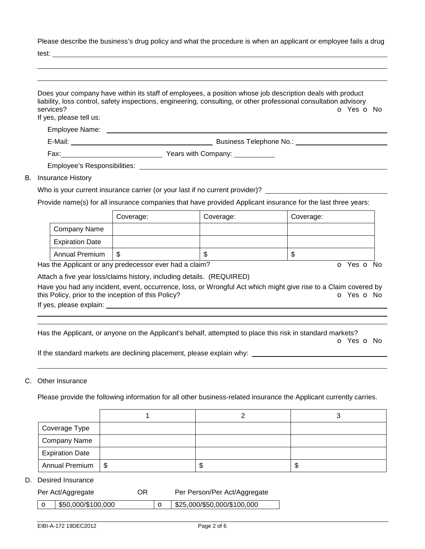Please describe the business's drug policy and what the procedure is when an applicant or employee fails a drug test:

 Does your company have within its staff of employees, a position whose job description deals with product liability, loss control, safety inspections, engineering, consulting, or other professional consultation advisory services? **o** Yes **o** No. If yes, please tell us: Employee Name: E-Mail: Business Telephone No.: Fax: Years with Company: Employee's Responsibilities: B. Insurance History Who is your current insurance carrier (or your last if no current provider)? Provide name(s) for all insurance companies that have provided Applicant insurance for the last three years: Coverage: Coverage: Coverage: Company Name Expiration Date

Has the Applicant or any predecessor ever had a claim? **O** Yes **o** No

Attach a five year loss/claims history, including details. (REQUIRED)

Annual Premium \$ \$ \$

Have you had any incident, event, occurrence, loss, or Wrongful Act which might give rise to a Claim covered by this Policy, prior to the inception of this Policy? **o** Yes **o** No

If yes, please explain:

Has the Applicant, or anyone on the Applicant's behalf, attempted to place this risk in standard markets?

o Yes o No

If the standard markets are declining placement, please explain why:

## C. Other Insurance

 

Please provide the following information for all other business-related insurance the Applicant currently carries.

| Coverage Type          |            |    |   |
|------------------------|------------|----|---|
| Company Name           |            |    |   |
| <b>Expiration Date</b> |            |    |   |
| <b>Annual Premium</b>  | $\vert$ \$ | ۰П | ง |

## D. Desired Insurance

|  | Per Act/Aggregate | ΟR | Per Person/Per Act/Aggregate                                                                            |  |
|--|-------------------|----|---------------------------------------------------------------------------------------------------------|--|
|  |                   |    | $\frac{1}{2}$ and $\frac{1}{2}$ and $\frac{1}{2}$ and $\frac{1}{2}$ and $\frac{1}{2}$ and $\frac{1}{2}$ |  |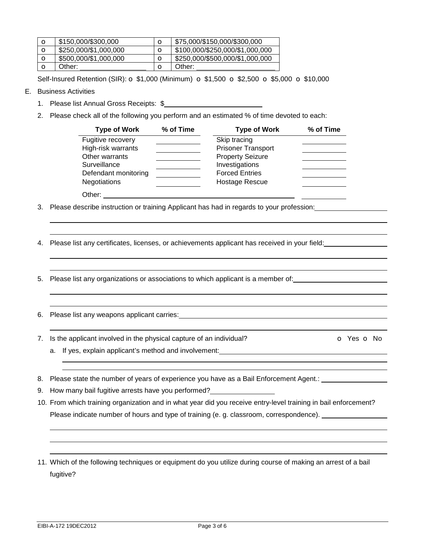| $\circ$ | \$150,000/\$300,000   | $\circ$ | \$75,000/\$150,000/\$300,000    |
|---------|-----------------------|---------|---------------------------------|
| O       | \$250,000/\$1,000,000 | $\circ$ | \$100,000/\$250,000/\$1,000,000 |
| O       | \$500,000/\$1,000,000 | $\circ$ | \$250,000/\$500,000/\$1,000,000 |
|         | Other:                |         | Other:                          |

Self-Insured Retention (SIR):  $\sigma$  \$1,000 (Minimum)  $\sigma$  \$1,500  $\sigma$  \$2,500  $\sigma$  \$5,000  $\sigma$  \$10,000

E. Business Activities

 

 

 

 

- 1. Please list Annual Gross Receipts: \$
- 2. Please check all of the following you perform and an estimated % of time devoted to each:

| <b>Type of Work</b>  | % of Time | <b>Type of Work</b>       | % of Time |
|----------------------|-----------|---------------------------|-----------|
| Fugitive recovery    |           | Skip tracing              |           |
| High-risk warrants   |           | <b>Prisoner Transport</b> |           |
| Other warrants       |           | <b>Property Seizure</b>   |           |
| Surveillance         |           | Investigations            |           |
| Defendant monitoring |           | <b>Forced Entries</b>     |           |
| <b>Negotiations</b>  |           | Hostage Rescue            |           |
| Other:               |           |                           |           |

3. Please describe instruction or training Applicant has had in regards to your profession:

4. Please list any certificates, licenses, or achievements applicant has received in your field:

- 5. Please list any organizations or associations to which applicant is a member of:
- 6. Please list any weapons applicant carries:
- 7. Is the applicant involved in the physical capture of an individual? **o** Yes **o** No

- a. If yes, explain applicant's method and involvement:
- 8. Please state the number of years of experience you have as a Bail Enforcement Agent.:
- 9. How many bail fugitive arrests have you performed?
- 10. From which training organization and in what year did you receive entry-level training in bail enforcement? Please indicate number of hours and type of training (e. g. classroom, correspondence).
- 11. Which of the following techniques or equipment do you utilize during course of making an arrest of a bail fugitive?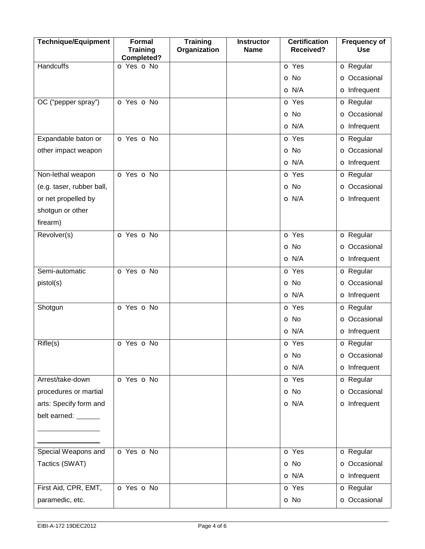| <b>Technique/Equipment</b> | <b>Formal</b><br><b>Training</b><br>Completed? | <b>Training</b><br>Organization | <b>Instructor</b><br><b>Name</b> | <b>Certification</b><br><b>Received?</b> | <b>Frequency of</b><br><b>Use</b> |
|----------------------------|------------------------------------------------|---------------------------------|----------------------------------|------------------------------------------|-----------------------------------|
| <b>Handcuffs</b>           | O Yes O No                                     |                                 |                                  | <b>o</b> Yes                             | <b>o</b> Regular                  |
|                            |                                                |                                 |                                  | o No                                     | O Occasional                      |
|                            |                                                |                                 |                                  | O N/A                                    | o Infrequent                      |
| OC ("pepper spray")        | O Yes O No                                     |                                 |                                  | <b>o</b> Yes                             | <b>o</b> Regular                  |
|                            |                                                |                                 |                                  | o No                                     | <b>o</b> Occasional               |
|                            |                                                |                                 |                                  | O N/A                                    | o Infrequent                      |
| Expandable baton or        | O Yes O No                                     |                                 |                                  | <b>o</b> Yes                             | <b>o</b> Regular                  |
| other impact weapon        |                                                |                                 |                                  | o No                                     | O Occasional                      |
|                            |                                                |                                 |                                  | O N/A                                    | o Infrequent                      |
| Non-lethal weapon          | O Yes O No                                     |                                 |                                  | <b>o</b> Yes                             | <b>o</b> Regular                  |
| (e.g. taser, rubber ball,  |                                                |                                 |                                  | o No                                     | <b>o</b> Occasional               |
| or net propelled by        |                                                |                                 |                                  | O N/A                                    | o Infrequent                      |
| shotgun or other           |                                                |                                 |                                  |                                          |                                   |
| firearm)                   |                                                |                                 |                                  |                                          |                                   |
| Revolver(s)                | O Yes O No                                     |                                 |                                  | o Yes                                    | <b>o</b> Regular                  |
|                            |                                                |                                 |                                  | o No                                     | O Occasional                      |
|                            |                                                |                                 |                                  | O N/A                                    | o Infrequent                      |
| Semi-automatic             | O Yes O No                                     |                                 |                                  | <b>o</b> Yes                             | <b>o</b> Regular                  |
| pistol(s)                  |                                                |                                 |                                  | o No                                     | O Occasional                      |
|                            |                                                |                                 |                                  | O N/A                                    | o Infrequent                      |
| Shotgun                    | o Yes o No                                     |                                 |                                  | <b>o</b> Yes                             | <b>o</b> Regular                  |
|                            |                                                |                                 |                                  | o No                                     | O Occasional                      |
|                            |                                                |                                 |                                  | O N/A                                    | o Infrequent                      |
| Rifle(s)                   | O Yes O No                                     |                                 |                                  | <b>o</b> Yes                             | <b>o</b> Regular                  |
|                            |                                                |                                 |                                  | o No                                     | <b>o</b> Occasional               |
|                            |                                                |                                 |                                  | O N/A                                    | o Infrequent                      |
| Arrest/take-down           | O Yes O No                                     |                                 |                                  | o Yes                                    | <b>o</b> Regular                  |
| procedures or martial      |                                                |                                 |                                  | o No                                     | <b>o</b> Occasional               |
| arts: Specify form and     |                                                |                                 |                                  | O N/A                                    | o Infrequent                      |
| belt earned: ______        |                                                |                                 |                                  |                                          |                                   |
|                            |                                                |                                 |                                  |                                          |                                   |
|                            |                                                |                                 |                                  |                                          |                                   |
| Special Weapons and        | O Yes O No                                     |                                 |                                  | o Yes                                    | <b>o</b> Regular                  |
| Tactics (SWAT)             |                                                |                                 |                                  | o No                                     | <b>o</b> Occasional               |
|                            |                                                |                                 |                                  | O N/A                                    | <b>o</b> Infrequent               |
| First Aid, CPR, EMT,       | O Yes O No                                     |                                 |                                  | o Yes                                    | <b>o</b> Regular                  |
| paramedic, etc.            |                                                |                                 |                                  | o No                                     | <b>o</b> Occasional               |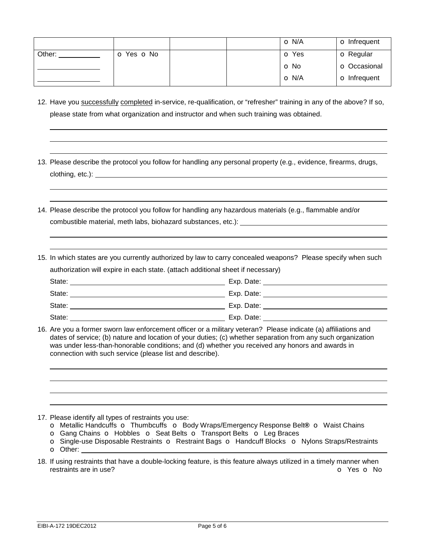|        |            | O N/A        | <b>o</b> Infrequent |
|--------|------------|--------------|---------------------|
| Other: | o Yes o No | <b>o</b> Yes | <b>o</b> Regular    |
|        |            | <b>O</b> No  | <b>o</b> Occasional |
|        |            | O N/A        | <b>o</b> Infrequent |

12. Have you successfully completed in-service, re-qualification, or "refresher" training in any of the above? If so, please state from what organization and instructor and when such training was obtained.

13. Please describe the protocol you follow for handling any personal property (e.g., evidence, firearms, drugs, clothing, etc.):

14. Please describe the protocol you follow for handling any hazardous materials (e.g., flammable and/or combustible material, meth labs, biohazard substances, etc.):

15. In which states are you currently authorized by law to carry concealed weapons? Please specify when such authorization will expire in each state. (attach additional sheet if necessary) State: Exp. Date:

| State: | Exp. Date: |
|--------|------------|
| State: | Exp. Date: |
| State: | Exp. Date: |

16. Are you a former sworn law enforcement officer or a military veteran? Please indicate (a) affiliations and dates of service; (b) nature and location of your duties; (c) whether separation from any such organization was under less-than-honorable conditions; and (d) whether you received any honors and awards in connection with such service (please list and describe).

17. Please identify all types of restraints you use:

- o Metallic Handcuffs o Thumbcuffso Body Wraps/Emergency Response Belt**®** o Waist Chains o Gang Chains o Hobbleso Seat Belts o Transport Beltso Leg Braces
- 
- o Single-use Disposable Restraints o Restraint Bags o Handcuff Blockso Nylons Straps/Restraints o Other:
- 18. If using restraints that have a double-locking feature, is this feature always utilized in a timely manner when restraints are in use? **o** Yes **o** No